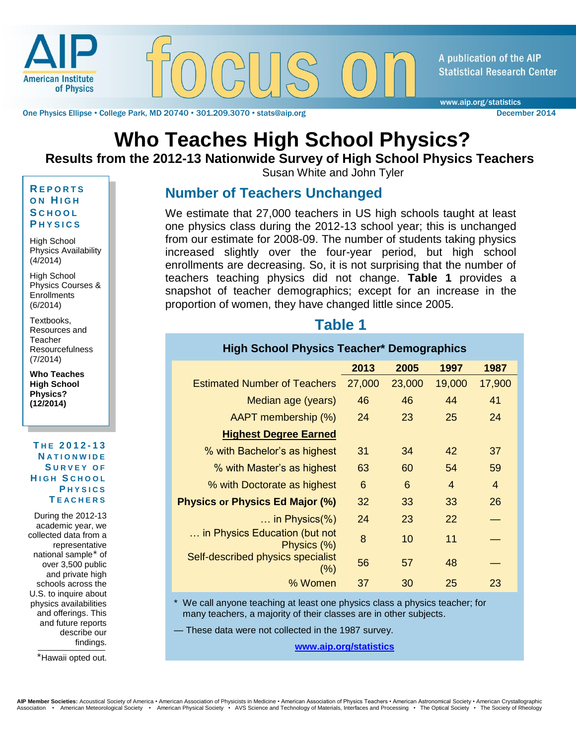

One Physics Ellipse • College Park, MD 20740 • 301.209.3070 • stats@aip.org December 2014

A publication of the AIP **Statistical Research Center** 

www.aip.org/statistics

# **Who Teaches High School Physics?**

#### **Results from the 2012-13 Nationwide Survey of High School Physics Teachers**

Susan White and John Tyler

#### **R E P O R T S O N H I G H S C H O O L P H Y S I C S**

High School Physics Availability (4/2014)

High School Physics Courses & **Enrollments** (6/2014)

Textbooks, Resources and **Teacher** Resourcefulness (7/2014)

**Who Teaches High School Physics? (12/2014)**

**T H E 2012 - 1 3 N A T I O N W I D E S U R V E Y O F H I G H S C H O O L P H Y S I C S T E A C H E R S**

During the 2012-13 academic year, we collected data from a representative national sample $*$  of over 3,500 public and private high schools across the U.S. to inquire about physics availabilities and offerings. This and future reports describe our findings.

\*Hawaii opted out.

#### **Number of Teachers Unchanged**

We estimate that 27,000 teachers in US high schools taught at least one physics class during the 2012-13 school year; this is unchanged from our estimate for 2008-09. The number of students taking physics increased slightly over the four-year period, but high school enrollments are decreasing. So, it is not surprising that the number of teachers teaching physics did not change. **Table 1** provides a snapshot of teacher demographics; except for an increase in the proportion of women, they have changed little since 2005.

#### **Table 1**

| <b>High School Physics Teacher* Demographics</b> |        |        |                |                |
|--------------------------------------------------|--------|--------|----------------|----------------|
|                                                  | 2013   | 2005   | 1997           | 1987           |
| <b>Estimated Number of Teachers</b>              | 27,000 | 23,000 | 19,000         | 17,900         |
| Median age (years)                               | 46     | 46     | 44             | 41             |
| AAPT membership (%)                              | 24     | 23     | 25             | 24             |
| <b>Highest Degree Earned</b>                     |        |        |                |                |
| % with Bachelor's as highest                     | 31     | 34     | 42             | 37             |
| % with Master's as highest                       | 63     | 60     | 54             | 59             |
| % with Doctorate as highest                      | 6      | 6      | $\overline{4}$ | $\overline{4}$ |
| <b>Physics or Physics Ed Major (%)</b>           | 32     | 33     | 33             | 26             |
| $\ldots$ in Physics(%)                           | 24     | 23     | 22             |                |
| in Physics Education (but not<br>Physics (%)     | 8      | 10     | 11             |                |
| Self-described physics specialist<br>(%)         | 56     | 57     | 48             |                |
| % Women                                          | 37     | 30     | 25             | 23             |

\* We call anyone teaching at least one physics class a physics teacher; for many teachers, a majority of their classes are in other subjects.

— These data were not collected in the 1987 survey.

**[www.aip.org/statistics](http://www.aip.org/statistics)**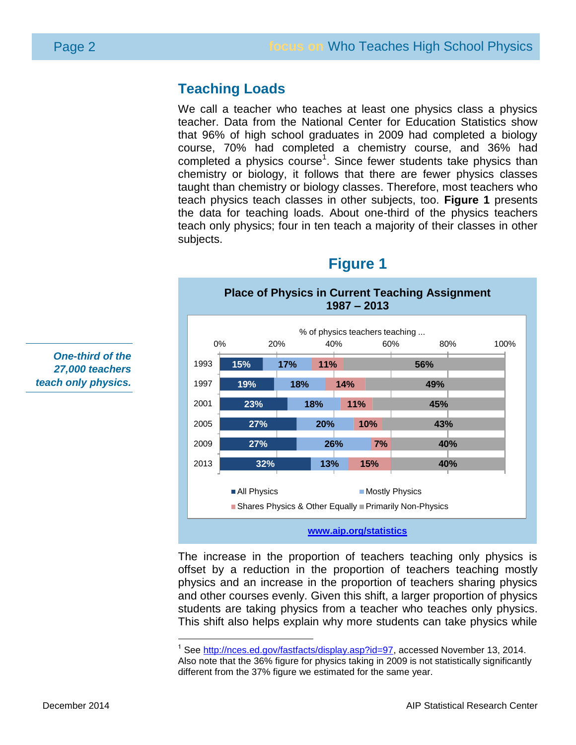#### **Teaching Loads**

We call a teacher who teaches at least one physics class a physics teacher. Data from the National Center for Education Statistics show that 96% of high school graduates in 2009 had completed a biology course, 70% had completed a chemistry course, and 36% had completed a physics course<sup>1</sup>. Since fewer students take physics than chemistry or biology, it follows that there are fewer physics classes taught than chemistry or biology classes. Therefore, most teachers who teach physics teach classes in other subjects, too. **Figure 1** presents the data for teaching loads. About one-third of the physics teachers teach only physics; four in ten teach a majority of their classes in other subjects.

**Figure 1**



The increase in the proportion of teachers teaching only physics is offset by a reduction in the proportion of teachers teaching mostly physics and an increase in the proportion of teachers sharing physics and other courses evenly. Given this shift, a larger proportion of physics students are taking physics from a teacher who teaches only physics. This shift also helps explain why more students can take physics while

*One-third of the 27,000 teachers teach only physics.*

<sup>&</sup>lt;sup>1</sup> See [http://nces.ed.gov/fastfacts/display.asp?id=97,](http://nces.ed.gov/fastfacts/display.asp?id=97) accessed November 13, 2014. Also note that the 36% figure for physics taking in 2009 is not statistically significantly different from the 37% figure we estimated for the same year.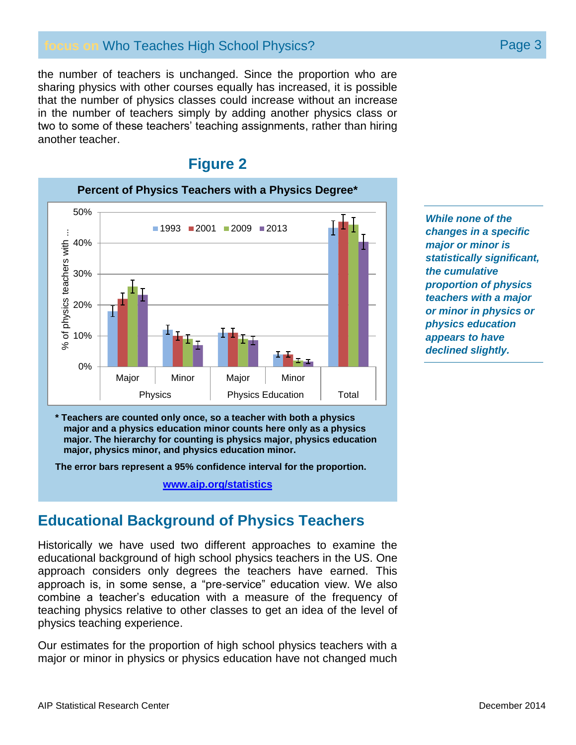#### **focus on** Who Teaches High School Physics? **Page 3** Page 3

the number of teachers is unchanged. Since the proportion who are sharing physics with other courses equally has increased, it is possible that the number of physics classes could increase without an increase in the number of teachers simply by adding another physics class or two to some of these teachers' teaching assignments, rather than hiring another teacher.

#### **Figure 2**



*While none of the changes in a specific major or minor is statistically significant, the cumulative proportion of physics teachers with a major or minor in physics or physics education appears to have declined slightly.*

**\* Teachers are counted only once, so a teacher with both a physics major and a physics education minor counts here only as a physics major. The hierarchy for counting is physics major, physics education major, physics minor, and physics education minor.**

**The error bars represent a 95% confidence interval for the proportion.**

**[www.aip.org/statistics](http://www.aip.org/statistics)**

#### **Educational Background of Physics Teachers**

Historically we have used two different approaches to examine the educational background of high school physics teachers in the US. One approach considers only degrees the teachers have earned. This approach is, in some sense, a "pre-service" education view. We also combine a teacher's education with a measure of the frequency of teaching physics relative to other classes to get an idea of the level of physics teaching experience.

Our estimates for the proportion of high school physics teachers with a major or minor in physics or physics education have not changed much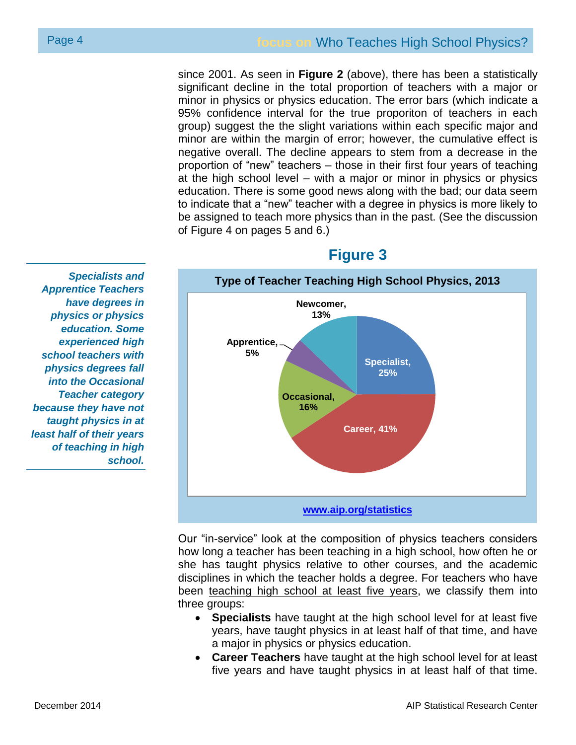since 2001. As seen in **Figure 2** (above), there has been a statistically significant decline in the total proportion of teachers with a major or minor in physics or physics education. The error bars (which indicate a 95% confidence interval for the true proporiton of teachers in each group) suggest the the slight variations within each specific major and minor are within the margin of error; however, the cumulative effect is negative overall. The decline appears to stem from a decrease in the proportion of "new" teachers – those in their first four years of teaching at the high school level – with a major or minor in physics or physics education. There is some good news along with the bad; our data seem to indicate that a "new" teacher with a degree in physics is more likely to be assigned to teach more physics than in the past. (See the discussion of Figure 4 on pages 5 and 6.)

**Type of Teacher Teaching High School Physics, 2013 [www.aip.org/statistics](http://www.aip.org/statistics) Specialist, 25% Career, 41% Occasional, 16% Apprentice, 5% Newcomer, 13%**

#### **Figure 3**

Our "in-service" look at the composition of physics teachers considers how long a teacher has been teaching in a high school, how often he or she has taught physics relative to other courses, and the academic disciplines in which the teacher holds a degree. For teachers who have been teaching high school at least five years, we classify them into three groups:

- **Specialists** have taught at the high school level for at least five years, have taught physics in at least half of that time, and have a major in physics or physics education.
- **Career Teachers** have taught at the high school level for at least five years and have taught physics in at least half of that time.

*Specialists and Apprentice Teachers have degrees in physics or physics education. Some experienced high school teachers with physics degrees fall into the Occasional Teacher category because they have not taught physics in at least half of their years of teaching in high school.*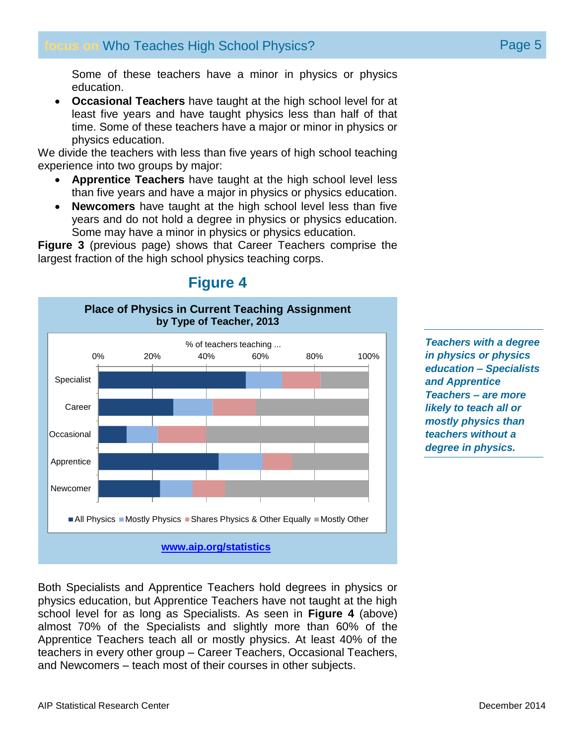Some of these teachers have a minor in physics or physics education.

 **Occasional Teachers** have taught at the high school level for at least five years and have taught physics less than half of that time. Some of these teachers have a major or minor in physics or physics education.

We divide the teachers with less than five years of high school teaching experience into two groups by major:

- **Apprentice Teachers** have taught at the high school level less than five years and have a major in physics or physics education.
- **Newcomers** have taught at the high school level less than five years and do not hold a degree in physics or physics education. Some may have a minor in physics or physics education.

**Figure 3** (previous page) shows that Career Teachers comprise the largest fraction of the high school physics teaching corps.



*Teachers with a degree in physics or physics education – Specialists and Apprentice Teachers – are more likely to teach all or mostly physics than teachers without a degree in physics.*

# **Figure 4**

Both Specialists and Apprentice Teachers hold degrees in physics or physics education, but Apprentice Teachers have not taught at the high school level for as long as Specialists. As seen in **Figure 4** (above) almost 70% of the Specialists and slightly more than 60% of the Apprentice Teachers teach all or mostly physics. At least 40% of the teachers in every other group – Career Teachers, Occasional Teachers, and Newcomers – teach most of their courses in other subjects.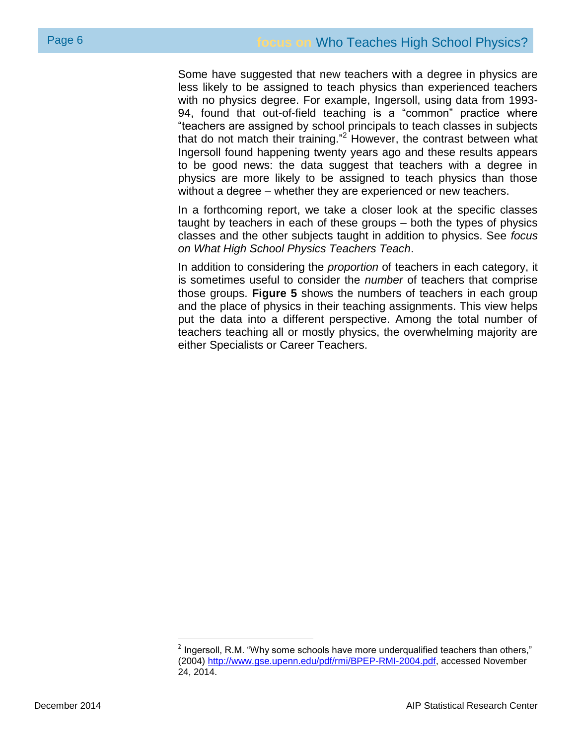Some have suggested that new teachers with a degree in physics are less likely to be assigned to teach physics than experienced teachers with no physics degree. For example, Ingersoll, using data from 1993- 94, found that out-of-field teaching is a "common" practice where "teachers are assigned by school principals to teach classes in subjects that do not match their training."<sup>2</sup> However, the contrast between what Ingersoll found happening twenty years ago and these results appears to be good news: the data suggest that teachers with a degree in physics are more likely to be assigned to teach physics than those without a degree – whether they are experienced or new teachers.

In a forthcoming report, we take a closer look at the specific classes taught by teachers in each of these groups – both the types of physics classes and the other subjects taught in addition to physics. See *focus on What High School Physics Teachers Teach*.

In addition to considering the *proportion* of teachers in each category, it is sometimes useful to consider the *number* of teachers that comprise those groups. **Figure 5** shows the numbers of teachers in each group and the place of physics in their teaching assignments. This view helps put the data into a different perspective. Among the total number of teachers teaching all or mostly physics, the overwhelming majority are either Specialists or Career Teachers.

<sup>&</sup>lt;sup>2</sup> Ingersoll, R.M. "Why some schools have more underqualified teachers than others," (2004) [http://www.gse.upenn.edu/pdf/rmi/BPEP-RMI-2004.pdf,](http://www.gse.upenn.edu/pdf/rmi/BPEP-RMI-2004.pdf) accessed November 24, 2014.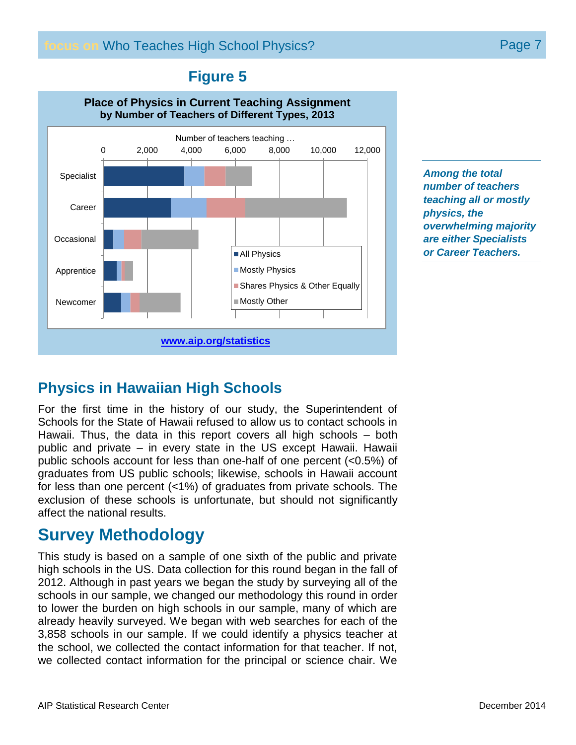### **Figure 5**



*Among the total number of teachers teaching all or mostly physics, the overwhelming majority are either Specialists or Career Teachers.*

# **Physics in Hawaiian High Schools**

For the first time in the history of our study, the Superintendent of Schools for the State of Hawaii refused to allow us to contact schools in Hawaii. Thus, the data in this report covers all high schools – both public and private – in every state in the US except Hawaii. Hawaii public schools account for less than one-half of one percent (<0.5%) of graduates from US public schools; likewise, schools in Hawaii account for less than one percent (<1%) of graduates from private schools. The exclusion of these schools is unfortunate, but should not significantly affect the national results.

# **Survey Methodology**

This study is based on a sample of one sixth of the public and private high schools in the US. Data collection for this round began in the fall of 2012. Although in past years we began the study by surveying all of the schools in our sample, we changed our methodology this round in order to lower the burden on high schools in our sample, many of which are already heavily surveyed. We began with web searches for each of the 3,858 schools in our sample. If we could identify a physics teacher at the school, we collected the contact information for that teacher. If not, we collected contact information for the principal or science chair. We